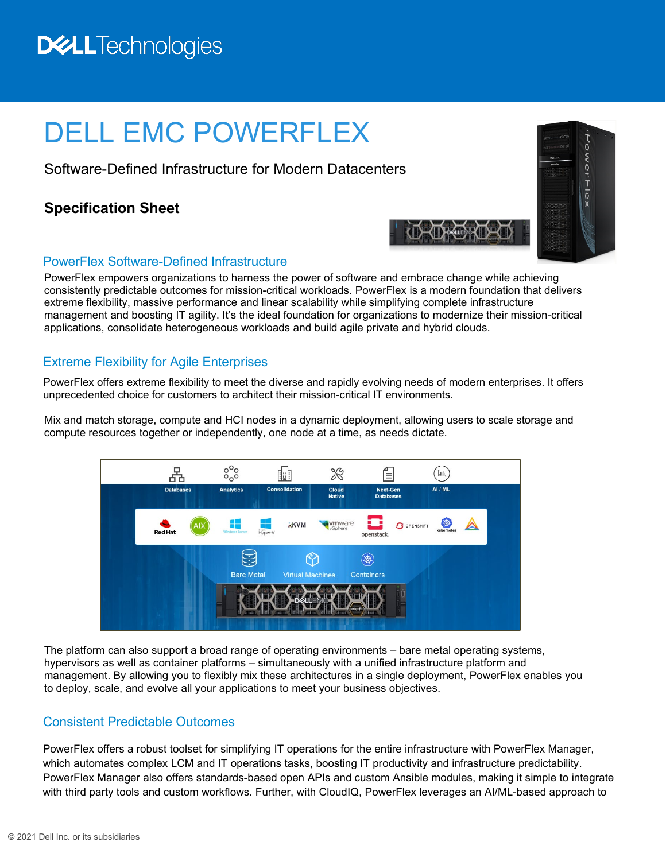## **DELL**Technologies

# DELL EMC POWERFLEX

Software-Defined Infrastructure for Modern Datacenters

### **Specification Sheet**



#### PowerFlex Software-Defined Infrastructure

PowerFlex empowers organizations to harness the power of software and embrace change while achieving consistently predictable outcomes for mission-critical workloads. PowerFlex is a modern foundation that delivers extreme flexibility, massive performance and linear scalability while simplifying complete infrastructure management and boosting IT agility. It's the ideal foundation for organizations to modernize their mission-critical applications, consolidate heterogeneous workloads and build agile private and hybrid clouds.

#### Extreme Flexibility for Agile Enterprises

PowerFlex offers extreme flexibility to meet the diverse and rapidly evolving needs of modern enterprises. It offers unprecedented choice for customers to architect their mission-critical IT environments.

Mix and match storage, compute and HCI nodes in a dynamic deployment, allowing users to scale storage and compute resources together or independently, one node at a time, as needs dictate.



The platform can also support a broad range of operating environments – bare metal operating systems, hypervisors as well as container platforms – simultaneously with a unified infrastructure platform and management. By allowing you to flexibly mix these architectures in a single deployment, PowerFlex enables you to deploy, scale, and evolve all your applications to meet your business objectives.

#### Consistent Predictable Outcomes

PowerFlex offers a robust toolset for simplifying IT operations for the entire infrastructure with PowerFlex Manager, which automates complex LCM and IT operations tasks, boosting IT productivity and infrastructure predictability. PowerFlex Manager also offers standards-based open APIs and custom Ansible modules, making it simple to integrate with third party tools and custom workflows. Further, with CloudIQ, PowerFlex leverages an AI/ML-based approach to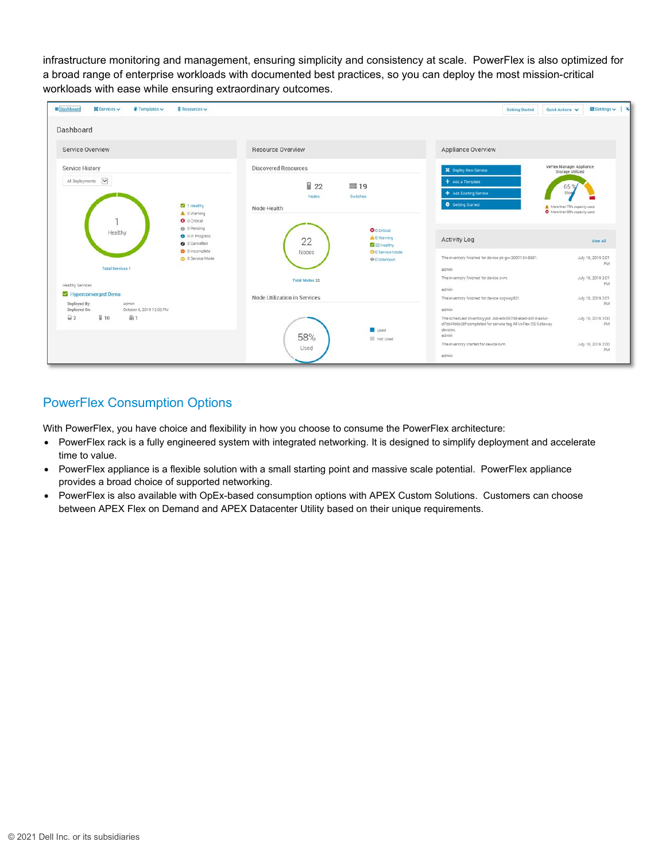infrastructure monitoring and management, ensuring simplicity and consistency at scale. PowerFlex is also optimized for a broad range of enterprise workloads with documented best practices, so you can deploy the most mission-critical workloads with ease while ensuring extraordinary outcomes.



#### PowerFlex Consumption Options

With PowerFlex, you have choice and flexibility in how you choose to consume the PowerFlex architecture:

- PowerFlex rack is a fully engineered system with integrated networking. It is designed to simplify deployment and accelerate time to value.
- PowerFlex appliance is a flexible solution with a small starting point and massive scale potential. PowerFlex appliance provides a broad choice of supported networking.
- PowerFlex is also available with OpEx-based consumption options with APEX Custom Solutions. Customers can choose between APEX Flex on Demand and APEX Datacenter Utility based on their unique requirements.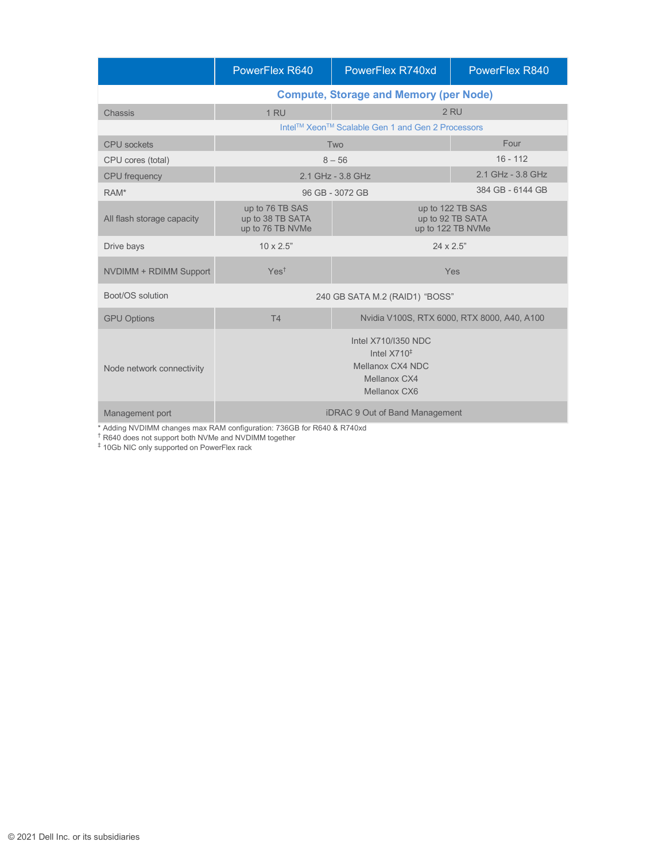|                            | PowerFlex R640                                                                                           | PowerFlex R740xd                                          | PowerFlex R840    |
|----------------------------|----------------------------------------------------------------------------------------------------------|-----------------------------------------------------------|-------------------|
|                            | <b>Compute, Storage and Memory (per Node)</b>                                                            |                                                           |                   |
| Chassis                    | 2 RU<br>1 RU                                                                                             |                                                           |                   |
|                            | Intel™ Xeon™ Scalable Gen 1 and Gen 2 Processors                                                         |                                                           |                   |
| <b>CPU</b> sockets         | Two                                                                                                      |                                                           | Four              |
| CPU cores (total)          | $8 - 56$                                                                                                 |                                                           | $16 - 112$        |
| <b>CPU</b> frequency       | 2.1 GHz - 3.8 GHz                                                                                        |                                                           | 2.1 GHz - 3.8 GHz |
| RAM*                       |                                                                                                          | 384 GB - 6144 GB<br>96 GB - 3072 GB                       |                   |
| All flash storage capacity | up to 76 TB SAS<br>up to 38 TB SATA<br>up to 76 TB NVMe                                                  | up to 122 TB SAS<br>up to 92 TB SATA<br>up to 122 TB NVMe |                   |
| Drive bays                 | $10 \times 2.5"$                                                                                         | $24 \times 2.5"$                                          |                   |
| NVDIMM + RDIMM Support     | Yes <sup>†</sup>                                                                                         |                                                           | Yes               |
| Boot/OS solution           | 240 GB SATA M.2 (RAID1) "BOSS"                                                                           |                                                           |                   |
| <b>GPU Options</b>         | T4                                                                                                       | Nvidia V100S, RTX 6000, RTX 8000, A40, A100               |                   |
| Node network connectivity  | Intel X710/I350 NDC<br>Intel $X710^{\ddagger}$<br>Mellanox CX4 NDC<br>Mellanox CX4<br>Mellanox CX6       |                                                           |                   |
| Management port            | iDRAC 9 Out of Band Management<br>* Adding NVDIMM changes max RAM configuration: 736GB for R640 & R740xd |                                                           |                   |

\* Adding NVDIMM changes max RAM configuration: 736GB for R640 & R740xd † R640 does not support both NVMe and NVDIMM together

 $^\ddag$  10Gb NIC only supported on PowerFlex rack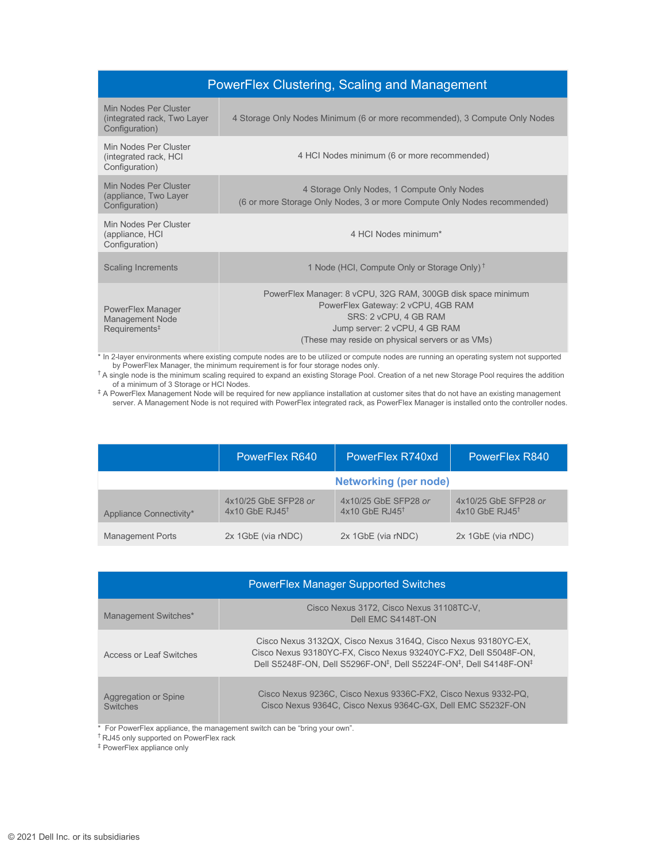| <b>PowerFlex Clustering, Scaling and Management</b>                     |                                                                                                                                                                                                                  |  |
|-------------------------------------------------------------------------|------------------------------------------------------------------------------------------------------------------------------------------------------------------------------------------------------------------|--|
| Min Nodes Per Cluster<br>(integrated rack, Two Layer)<br>Configuration) | 4 Storage Only Nodes Minimum (6 or more recommended), 3 Compute Only Nodes                                                                                                                                       |  |
| Min Nodes Per Cluster<br>(integrated rack, HCI<br>Configuration)        | 4 HCI Nodes minimum (6 or more recommended)                                                                                                                                                                      |  |
| Min Nodes Per Cluster<br>(appliance, Two Layer<br>Configuration)        | 4 Storage Only Nodes, 1 Compute Only Nodes<br>(6 or more Storage Only Nodes, 3 or more Compute Only Nodes recommended)                                                                                           |  |
| Min Nodes Per Cluster<br>(appliance, HCI<br>Configuration)              | 4 HCI Nodes minimum*                                                                                                                                                                                             |  |
| <b>Scaling Increments</b>                                               | 1 Node (HCI, Compute Only or Storage Only) <sup>†</sup>                                                                                                                                                          |  |
| PowerFlex Manager<br>Management Node<br>Requirements <sup>‡</sup>       | PowerFlex Manager: 8 vCPU, 32G RAM, 300GB disk space minimum<br>PowerFlex Gateway: 2 vCPU, 4GB RAM<br>SRS: 2 vCPU, 4 GB RAM<br>Jump server: 2 vCPU, 4 GB RAM<br>(These may reside on physical servers or as VMs) |  |

\* In 2-layer environments where existing compute nodes are to be utilized or compute nodes are running an operating system not supported

by PowerFlex Manager, the minimum requirement is for four storage nodes only.<br><sup>†</sup> A single node is the minimum scaling required to expand an existing Storage Pool. Creation of a net new Storage Pool requires the addition

of a minimum of 3 Storage or HCI Nodes. ‡ A PowerFlex Management Node will be required for new appliance installation at customer sites that do not have an existing management server. A Management Node is not required with PowerFlex integrated rack, as PowerFlex Manager is installed onto the controller nodes.

|                         | PowerFlex R640                                       | PowerFlex R740xd                                     | <b>PowerFlex R840</b>                                |
|-------------------------|------------------------------------------------------|------------------------------------------------------|------------------------------------------------------|
|                         | <b>Networking (per node)</b>                         |                                                      |                                                      |
| Appliance Connectivity* | 4x10/25 GbE SFP28 or<br>$4x10$ GbE RJ $45^{\dagger}$ | 4x10/25 GbE SFP28 or<br>$4x10$ GbE RJ $45^{\dagger}$ | 4x10/25 GbE SFP28 or<br>$4x10$ GbE RJ45 <sup>t</sup> |
| <b>Management Ports</b> | 2x 1GbE (via rNDC)                                   | 2x 1GbE (via rNDC)                                   | 2x 1GbE (via rNDC)                                   |

| <b>PowerFlex Manager Supported Switches</b> |                                                                                                                                                                                                                                               |  |
|---------------------------------------------|-----------------------------------------------------------------------------------------------------------------------------------------------------------------------------------------------------------------------------------------------|--|
| Management Switches*                        | Cisco Nexus 3172, Cisco Nexus 31108TC-V,<br>Dell EMC S4148T-ON                                                                                                                                                                                |  |
| Access or Leaf Switches                     | Cisco Nexus 3132QX, Cisco Nexus 3164Q, Cisco Nexus 93180YC-EX.<br>Cisco Nexus 93180YC-FX, Cisco Nexus 93240YC-FX2, Dell S5048F-ON,<br>Dell S5248F-ON, Dell S5296F-ON <sup>‡</sup> , Dell S5224F-ON <sup>‡</sup> , Dell S4148F-ON <sup>‡</sup> |  |
| Aggregation or Spine<br><b>Switches</b>     | Cisco Nexus 9236C. Cisco Nexus 9336C-FX2. Cisco Nexus 9332-PQ.<br>Cisco Nexus 9364C, Cisco Nexus 9364C-GX, Dell EMC S5232F-ON                                                                                                                 |  |

\* For PowerFlex appliance, the management switch can be "bring your own".

† RJ45 only supported on PowerFlex rack

‡ PowerFlex appliance only